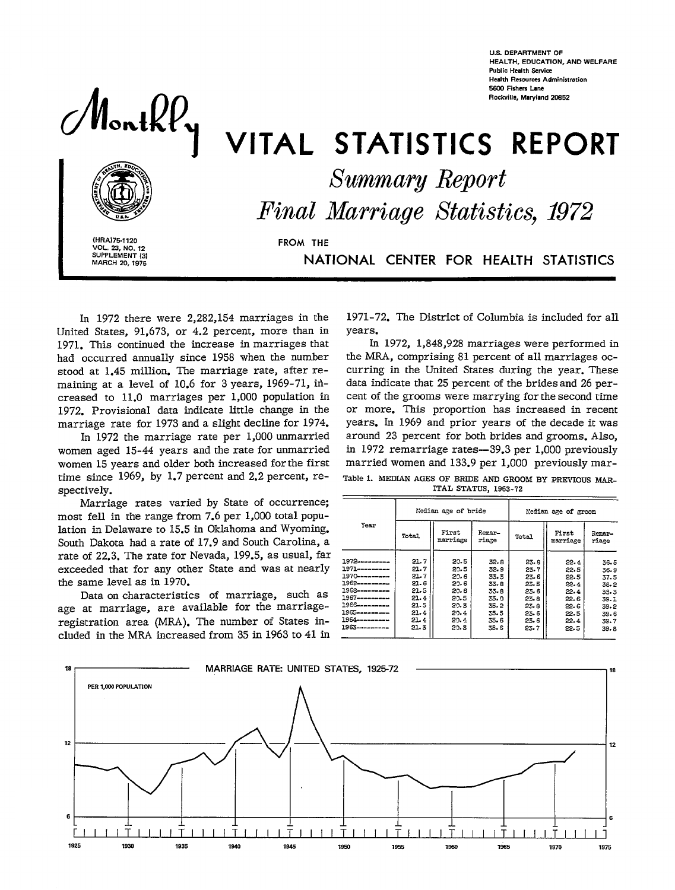**U.S. DEPARTMENT OF HEALTH, EOUCATION, ANO WELFARE Public Health Semim**  Health Resources Administratio Rockville, Maryland 20852



# MonthPy VITAL STATISTICS REPORT

**Summary Report** 

Final Marriage Statistics, 1972

(HRA)75-1120 **VOL. 23, NO. 12**<br>SUPPLEMENT (3) MARCH 20, 1975

**FROM THE** 

NATIONAL CENTER FOR HEALTH STATISTICS

In 1972 there were 2,282,154 marriages in the United States, 91,673, or 4.2 percent, more than in 1971. This continued the increase in marriages that had occurred annually since 1958 when the number stood at 1.45 million. The marriage rate, after remaining at a level of 10.6 for 3 years, 1969-71, ihcreased to 11.0 marriages per 1,000 population in 1972. Provisional data indicate little change in the marriage rate for 1973 and a slight decline for 1974.

In 1972 the marriage rate per 1,000 unmarried women aged 15-44 years and the rate for unmarried women 15 years and older both increased for the first time since 1969, by 1.7 percent and 2.2 percent, respectively.

Marriage rates varied by State of occurrence; most fell in the range from 7.6 per 1,000 total population in Delaware to 15.5 in Oklahoma and Wyoming. South Dakota had a rate of 17.9 and South Carolina, a rate of 22.3. The rate for Nevada, 199.5, as usual, far exceeded that for any other State and was at nearly the same level as in 1970.

Data on characteristics of marriage, such as age at marriage, are available for the marriageregistration area (MRA). The number of States included in the MRA increased from 35 in 1963 to 41 in

1971-72. The District of Columbia is included for all years.

In 1972, 1,848,928 marriages were performed in the MRA, comprising 81 percent of all marriages occurring in the United States during the year. These data indicate that 25 percent of the brides and 26 percent of the grooms were marrying for the second time or more. **This** proportion has increased in recent years. In 1969 and prior years of the decade it was around 23 percent for both brides and grooms. Also, in 1972 remarriage rates—39.3 per 1,000 previously married women and 133.9 per 1,000 previously mar-Table 1. MEDIAN AGES OF BRIDE AND GROOM BY PREVIOUS MAR-ITAL STATUS, 1963.72

|                                                                                                                                                                                                      |                                                                              | Median are of bride                                                          |                                                                              | Median age of groom                                                          |                                                                              |                                                                              |  |  |
|------------------------------------------------------------------------------------------------------------------------------------------------------------------------------------------------------|------------------------------------------------------------------------------|------------------------------------------------------------------------------|------------------------------------------------------------------------------|------------------------------------------------------------------------------|------------------------------------------------------------------------------|------------------------------------------------------------------------------|--|--|
| Year                                                                                                                                                                                                 | Total                                                                        | First<br>marriage                                                            | Remar-<br>riage                                                              | Total                                                                        | First<br>marriage                                                            | Remar-<br>riage                                                              |  |  |
| 1972----------<br>1971----------<br>1970---------<br>1969----------<br>1968------- <b>--</b> -<br>1967----------<br>1966------- <b>--</b> -<br>1965----------<br>1964----------<br>1963 <del>.</del> | 21.7<br>21.7<br>21.7<br>21.6<br>21.5<br>21.4<br>21.5<br>21.4<br>21.4<br>21.3 | 20.5<br>20.5<br>20.6<br>29.6<br>20.6<br>20.5<br>20.3<br>20.4<br>20.4<br>20.3 | 32.8<br>32.9<br>33.3<br>33.8<br>33.8<br>35.0<br>35.2<br>35.5<br>35.6<br>35.6 | 23.8<br>23.7<br>23.6<br>23.5<br>23.6<br>23.8<br>23.8<br>23.6<br>23.6<br>23.7 | 22.4<br>22.5<br>22.5<br>22.4<br>22.4<br>22.6<br>22.6<br>22.5<br>22.4<br>22.5 | 36.5<br>36.9<br>37.5<br>38.2<br>33.3<br>39.1<br>39.2<br>39.6<br>39.7<br>39.8 |  |  |

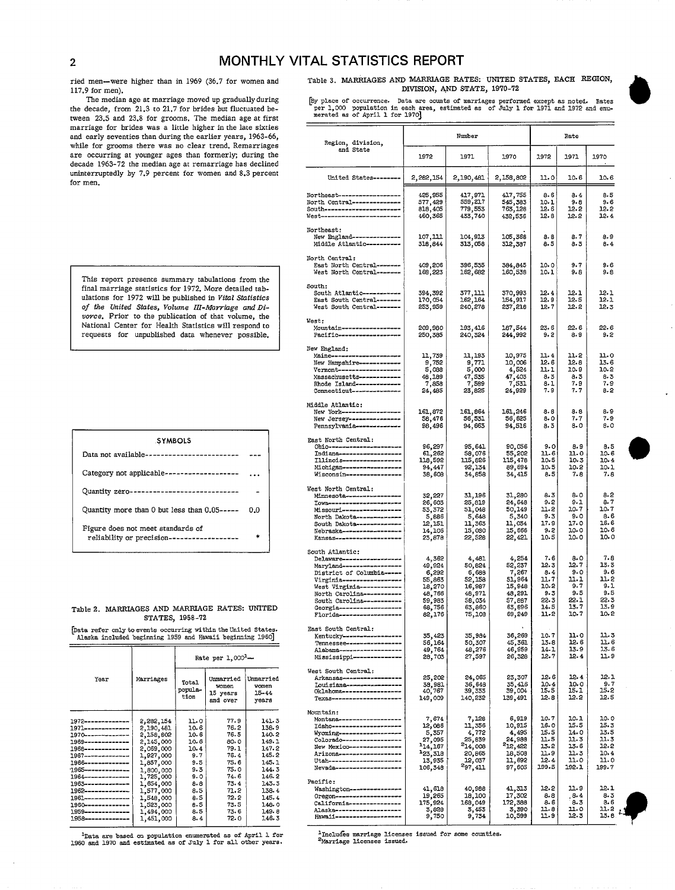# 2 **MONTHLY VITAL STATISTICS REPORT**

111. The median age at marriage moved up gradually during the play place of occurrence. Data are counts of marriages performently the median age at marriage moved up gradually during the place of occurrence. Data are count

the decade, from 21.3 to 21.7 for brides but fluctuated between  $23.5$  and  $23.8$  for grooms. The median age at first marriage for brides was a little higher in the late sixties for men. and early seventies than during the earlier years, 1963-66, while for grooms there was no clear trend. Remarriages are occurring at younger ages than formerly, during the decade 1963-72 the median age at remarriage bas declined uninterruptedly by 7.9 percent for women and  $8.3$  percent

| <b>SYMBOLS</b>                                                                  |     | <b>Rast North Central:</b><br>Ohio---------------                   |
|---------------------------------------------------------------------------------|-----|---------------------------------------------------------------------|
| Data not available------------------------ ---                                  |     | Indiana------------<br>$I111no18------------$                       |
| Category not applicable-------------------                                      |     | Michigan-----------<br>Wisconsin----------                          |
| Quantity zero----------------------------                                       |     | West North Central:<br>Minnesota-----------                         |
| Quantity more than 0 but less than 0.05-----                                    | 0.0 | Missouri-----------<br>North Dakota-------                          |
| Figure does not meet standards of<br>reliability or precision------------------ | *   | South Dakota-------<br>Nebraska------------<br>Kansas-------------- |

#### Table 2. MARRIAGES AND MARRIAGE RATES: UNITED STATES, 1958-72

|                        |           |                          | Rate per $1,000^2$ -                       | Alabama.<br>Mississ:                     |                                                        |
|------------------------|-----------|--------------------------|--------------------------------------------|------------------------------------------|--------------------------------------------------------|
| Year                   | Marriages | Total<br>popula-<br>tion | Unmarried<br>women<br>15 years<br>and over | Unmarried<br>women<br>$15 - 44$<br>years | West Sout<br>Arkansa<br>Louisia<br>Oklahom<br>Texas--- |
| 1972--------------     | 2,282,154 | 11.0                     | 77.9                                       | 141.3                                    | Mountain:<br>Montana                                   |
| 1971--------------     | 2,190,481 | 10.6                     | 76.2                                       | 138.9                                    | Idaho---                                               |
| 1970--------------     | 2,158,802 | 10.6                     | 76.5                                       | 140.2                                    | Wyoming                                                |
| 1969--------------     | 2,145,000 | 10.6                     | 80.0                                       | 149.1                                    | Colorado                                               |
| 1968--------------     | 2,069,000 | 10.4                     | 79.1                                       | 147.2                                    | New Mex:                                               |
| 1967---------------    | 1,927,000 | 9.7                      | 76.4                                       | 145.2                                    | Arizona                                                |
| 1966--------------     | 1,857,000 | 9.5                      | 75.6                                       | 145.1                                    | Utah----                                               |
| 1965--------------     | 1,800,000 | 9.3                      | 75.0                                       | 144.3                                    | Nevada--                                               |
| 1964--------------     | 1,725,000 | 9.0                      | 74.6                                       | 146.2                                    |                                                        |
| 1963--------------     | 1,654,000 | 8.8                      | 73.4                                       | 143.3                                    | Pacific:                                               |
| 1962--------------     | 1,577,000 | 8.5                      | 71.2                                       | 138.4                                    | Washing                                                |
| 1961~~~~~~~~~~~~~      | 1,548,000 | 8.5                      | 72.2                                       | 145.4                                    | Oregon-                                                |
| 1960--------------     | 1,523,000 | 8.5                      | 73.5                                       | 148.0                                    | Caliform                                               |
| 1959--------------     | 1,494,000 | 8.5                      | 73.6                                       | 149.8                                    | Alaska-<br>Hawaii-                                     |
| $1.958$ -------------- | 1,451,000 | 8.4                      | 72.0                                       | 146.3                                    |                                                        |

ried men—were higher than in 1969 (36.7 for women and Table 3. MARRIAGES AND MARRIAGE RATES: UNITED STATES, EACH REGION,  $117.9$  for men).

The median age at marriage moved up gradually during [by place of occurrence. Data are counts of marriages performed except as noted. Rates<br>the decade, from 21.3 to 21.7 for brides but fluctuated be- per 1,000 population i

| marriage for brides was a little higher in the late sixties<br>and early seventies than during the earlier years, 1963-66,<br>while for grooms there was no clear trend. Remarriages<br>are occurring at younger ages than formerly; during the<br>decade 1963-72 the median age at remarriage has declined |                        | Region, division,                                        |                       | Rate               |                                                                                                |                               |                               |                               |                      |                     |                     |
|-------------------------------------------------------------------------------------------------------------------------------------------------------------------------------------------------------------------------------------------------------------------------------------------------------------|------------------------|----------------------------------------------------------|-----------------------|--------------------|------------------------------------------------------------------------------------------------|-------------------------------|-------------------------------|-------------------------------|----------------------|---------------------|---------------------|
|                                                                                                                                                                                                                                                                                                             |                        | and State                                                | 1972                  | 1971               | 1970                                                                                           | 1972                          | 1971.                         | 1970                          |                      |                     |                     |
| uninterruptedly by 7.9 percent for women and 8.3 percent<br>for men.                                                                                                                                                                                                                                        |                        |                                                          |                       |                    | United States--------                                                                          | 2,282,154                     | 2,190,481                     | 2,158,802                     | 11.0                 | 10.6                | 10.6                |
|                                                                                                                                                                                                                                                                                                             |                        |                                                          |                       |                    | Northeast--------------------                                                                  | 425,955                       | 417,971                       | 417,755                       | 8.6                  | 8.4                 | 8.5                 |
|                                                                                                                                                                                                                                                                                                             |                        |                                                          |                       |                    | North Central---------------<br>South-----------------------<br>West-------------------------- | 577,429<br>818,405<br>460,365 | 559,217<br>779,553<br>433,740 | 545,383<br>763,128<br>432,536 | 10.1<br>12.6<br>12.8 | 9.8<br>12.2<br>12.2 | 9.6<br>12.2<br>12.4 |
|                                                                                                                                                                                                                                                                                                             |                        |                                                          |                       |                    | Northeast:                                                                                     |                               |                               |                               |                      |                     |                     |
|                                                                                                                                                                                                                                                                                                             |                        |                                                          |                       |                    | New England---------------<br>Middle Atlantic----------                                        | 107,111<br>318,844            | 104,913<br>313,058            | 105,368<br>312,387            | 8.8<br>8.5           | 8.7<br>8.3          | 8.9<br>8.4          |
|                                                                                                                                                                                                                                                                                                             |                        |                                                          |                       |                    | North Central:<br>East North Central--------                                                   | 409.206                       |                               |                               |                      |                     |                     |
| This report presents summary tabulations from the                                                                                                                                                                                                                                                           |                        |                                                          |                       |                    | West North Central -------                                                                     | 168,223                       | 396,535<br>162,682            | 384,845<br>160,538            | 10.0<br>10.1         | 9.7<br>9.8          | 9.6<br>9.8          |
| final marriage statistics for 1972. More detailed tab-                                                                                                                                                                                                                                                      |                        |                                                          |                       |                    | South:<br>South Atlantic-----------                                                            | 394,392                       | 377,111                       | 370,993                       | 12.4                 | 12.1                | 12.1                |
| ulations for 1972 will be published in Vital Statistics<br>of the United States, Volume III-Marriage and Di-                                                                                                                                                                                                |                        |                                                          |                       |                    | East South Central -------<br>West South Central-------                                        | 170,054<br>253,959            | 162,164<br>240,278            | 154,917<br>237,218            | 12.9<br>12.7         | 12.5<br>12.2        | 12.1<br>12.3        |
| vorce. Prior to the publication of that volume, the<br>National Center for Health Statistics will respond to                                                                                                                                                                                                |                        |                                                          |                       |                    | West:                                                                                          |                               |                               |                               |                      |                     | 22.6                |
| requests for unpublished data whenever possible.                                                                                                                                                                                                                                                            |                        |                                                          |                       |                    | Mountain------------------<br>Pacific-------------------                                       | 209,980<br>250,385            | 193,416<br>240,324            | 187,544<br>244,992            | 23.6<br>9.2          | 22.6<br>8.9         | 9.2                 |
|                                                                                                                                                                                                                                                                                                             |                        |                                                          |                       |                    | New England:<br>Maine---------------------                                                     | 11,739                        | 11,193                        | 10,975                        | 11.4                 | 11.2                | 11.0                |
|                                                                                                                                                                                                                                                                                                             |                        |                                                          |                       |                    | New Hampshire------------<br>$Vermont$ -------------------                                     | 9,752<br>5,088                | 9,771<br>5,000                | 10,006<br>4,524               | 12.6<br>11.1         | 12.8<br>10.9        | 13.6<br>$10-2$      |
|                                                                                                                                                                                                                                                                                                             |                        |                                                          |                       |                    | Massachusetts ------------<br>Rhode Island-------------                                        | 48,189<br>7,858               | 47,535<br>7,589               | 47,403<br>7,531               | 8.3<br>$8 - 1$       | a.3<br>7.9          | 8.3<br>7.9          |
|                                                                                                                                                                                                                                                                                                             |                        |                                                          |                       |                    | Connecticut---------------                                                                     | 24,485                        | 23,825                        | 24,929                        | 7.9                  | 7.7                 | $8 - 2$             |
|                                                                                                                                                                                                                                                                                                             |                        |                                                          |                       |                    | Middle Atlantic:<br>New York-------------------<br>New Jersey ---------------                  | 161,872<br>58,476             | 161,864<br>56,531             | 161,246<br>56,625             | 8.6<br>8.0           | 8.8<br>7.7          | 8.9<br>7.9          |
|                                                                                                                                                                                                                                                                                                             |                        |                                                          |                       |                    | Pennsylvania--------------                                                                     | 98,496                        | 94,663                        | 94,516                        | 8.3                  | 8.0                 | 8.0                 |
|                                                                                                                                                                                                                                                                                                             | SYMBOLS                |                                                          |                       |                    | East North Central:<br>Ohio----------------------                                              | 96,297                        | 95,641                        | 90,056                        | 9.0                  | 8.9                 | 0.5                 |
| Data not available------------------------                                                                                                                                                                                                                                                                  |                        |                                                          |                       |                    | Indiana-------------------<br>Illinois------------------                                       | 61,262<br>118,592             | 58,076<br>115,826             | 55,202<br>115,478             | 11.6<br>10.5         | 11.0<br>10.3        | 10.6<br>$10 - 4$    |
| Category not applicable-------------------                                                                                                                                                                                                                                                                  |                        |                                                          |                       |                    | Michigan-------------------<br>Wisconsin-----------------                                      | 94,447<br>38,609              | 92,134<br>34,858              | 89,694<br>34, 415             | 10.5<br>8.5          | 10.2<br>7.8         | 10.1<br>7.8         |
| Quantity zero----------------------------                                                                                                                                                                                                                                                                   |                        |                                                          |                       |                    | West North Central:<br>Minnesota-----------------                                              | 32,227                        | 31,196                        | 31,280                        | 8.3                  | 8.0                 | 8.2                 |
| Quantity more than 0 but less than 0.05----- 0.0                                                                                                                                                                                                                                                            |                        |                                                          |                       |                    | <b><i>LOWB----------------------</i></b><br>Missouri-----------------                          | 26,603<br>53,372              | 25,819<br>51,048              | 24,648<br>50,149              | 9.2<br>11.2          | 9.1<br>10.7         | 8.7<br>10.7         |
| Figure does not meet standards of<br>reliability or precision------------------                                                                                                                                                                                                                             |                        | North Dakota-------------<br>South Dakota-------------   | 5,886<br>12,151       | 5,648<br>11,363    | 5,340<br>11,034                                                                                | 9.3<br>17.9                   | 9.0<br>17.0                   | 8.6<br>16.6                   |                      |                     |                     |
|                                                                                                                                                                                                                                                                                                             |                        | Nebraska-------------------<br>Kansas------------------- | 14,106<br>23,878      | 15,080<br>22,528   | 15,666<br>22,421                                                                               | 9.2<br>10.5                   | 10.0<br>10.0                  | 10.6<br>10.0                  |                      |                     |                     |
|                                                                                                                                                                                                                                                                                                             |                        |                                                          |                       |                    | South Atlantic:<br>Delaware-----------------                                                   | 4,362                         | 4,481                         | 4,254                         | 7.6                  | 8.0                 | 7.8                 |
|                                                                                                                                                                                                                                                                                                             |                        |                                                          |                       |                    | Maryland------------------<br>District of Columbia -----                                       | 49,924<br>6,292               | 50,824<br>6,688               | 52,237<br>7,267               | 12.3<br>8.4          | 12.7<br>9.0         | 13. 3<br>9.6        |
|                                                                                                                                                                                                                                                                                                             |                        |                                                          |                       |                    | Virginia------------------<br>West Virginia------------                                        | 55,863<br>18,270              | 52,158<br>16,987              | 51,964<br>15,948              | 11.7<br>10-2         | 11.1<br>9.7         | 11.2<br>9.1         |
|                                                                                                                                                                                                                                                                                                             |                        |                                                          |                       |                    | North Carolina-----------<br>South Carolina-----------                                         | 48,766<br>59,983              | 48,971<br>58,034              | 48,291<br>57,887              | 9.3<br>22.3          | 9.5<br>22.1         | 9.5<br>22.3         |
| Table 2. MARRIAGES AND MARRIAGE RATES: UNITED                                                                                                                                                                                                                                                               | STATES, 1958-72        |                                                          |                       |                    | Georgia-------------------<br>Florida--------------------                                      | 68,756<br>82,176              | 63,860<br>75,108              | 63,896<br>69,249              | 14.5<br>11.2         | 13.7<br>10.7        | 13.9<br>10.2        |
| Data refer only to events occurring within the United States.                                                                                                                                                                                                                                               |                        |                                                          |                       |                    | East South Central:                                                                            | 35,423                        |                               | 36,269                        | 10.7                 | 11.0                | 11.3                |
| Alaska included beginning 1959 and Hawaii beginning 1960]                                                                                                                                                                                                                                                   |                        |                                                          |                       |                    | Kentucky-------------------<br>Tennessee ------------------                                    | 56,164<br>49,764              | 35,984<br>50,307<br>48,276    | 45,361<br>46,959              | $13 - 8$<br>14-1     | 12.6<br>13.9        | 11.6<br>13.6        |
|                                                                                                                                                                                                                                                                                                             |                        |                                                          | Rate per $1,000^2$ -- |                    | Alabama--------------------<br>Mississippi --------------                                      | 28,703                        | 27,597                        | 26,328                        | 12.7                 | 12.4                | 11.9                |
| Year                                                                                                                                                                                                                                                                                                        | Marriages              |                                                          | Unmarried             | Unmarried          | West South Central:<br>Arkansas-------------------                                             | 25,202                        | 24,065                        | 23,307                        | 12.6                 | 12.4                | 12.1                |
|                                                                                                                                                                                                                                                                                                             |                        | Total<br>popula-                                         | women<br>15 years     | women<br>$15 - 44$ | Louisiana------------------<br>Oklahoma-----------------                                       | 38,981<br>40,767              | 36,648<br>39,333              | 35,416<br>39,004              | 10.4<br>15.5         | 10.0<br>15.1        | 9.7<br>15.2         |
|                                                                                                                                                                                                                                                                                                             |                        | tion                                                     | and over              | years              | Texas----------------------<br>Mountain:                                                       | 149,009                       | 140,232                       | 139,491                       | 12.8                 | 12.2                | 12.5                |
| 1972--------------                                                                                                                                                                                                                                                                                          | 2,282,154              | 11.0                                                     | 77.9                  | 141.3              | Montana-------------------<br>Idaho---------------------                                       | 7,674<br>12,086               | 7,128<br>11,356               | 6,919<br>10,915               | 10.7<br>16.0         | 10.1<br>15.5        | 10.0<br>15.3        |
| 1971---------------<br>1970--------------                                                                                                                                                                                                                                                                   | 2,190,481<br>2,158,802 | 10.6<br>10.6                                             | 76.2<br>76.5          | 138.9<br>140.2     | Wyoming-------------------<br>Colorado------------------                                       | 5,357<br>27,095               | 4,772<br>25,839               | 4,495<br>24,988               | 15.5<br>11.5         | 14.0<br>11.3        | 13.5<br>11.3        |
| 1969--------------<br>1968--------------                                                                                                                                                                                                                                                                    | 2,145,000<br>2,069,000 | 10.6<br>10.4                                             | 80.0<br>79.1          | 149.1<br>147.2     | New Mexico---------------<br>Arizona--------------------                                       | $-14,167$                     | 214,008                       | 212,422                       | 13.2<br>11.9         | 13.6<br>11.3        | 12.2<br>10.4        |
| 1967--------------<br>1966--------------                                                                                                                                                                                                                                                                    | 1,927,000<br>1,857,000 | 9.7<br>9.5                                               | 76.4<br>75.6          | 145.2<br>145.1     | Utah-----------------------                                                                    | $-23,318$<br>13,935           | 20,865<br>12,037              | 18,509<br>11,692              | 12.4                 | 11.0                | 11.0                |
| 1965--------------<br>1964--------------                                                                                                                                                                                                                                                                    | 1,800,000<br>1,725,000 | 9.3<br>9.0                                               | 75.0<br>74.6          | 144.3<br>146.2     | Nevada----------------------                                                                   | 106,348                       | 297,411                       | 97,605                        | 199.5                | 192.1               | 199.7               |
| 1963--------------<br>1962--------------                                                                                                                                                                                                                                                                    | 1,654,000<br>1,577,000 | 8.8<br>8.5                                               | 73.4<br>71.2          | 143.3<br>138.4     | Pacific:<br>Washington---------------                                                          | 41,618                        | 40,988                        | 41,313                        | 12.2                 | 11.9                | 12.1                |
| 1961---------------                                                                                                                                                                                                                                                                                         | 1,548,000              | 8.5                                                      | 72.2                  | 145.4              | Oregon---------------------<br>California---------------                                       | 19,265                        | 18,100<br>168,049             | 17,302<br>172,388             | 8.8<br>8.6           | 8.4<br>8.3          | 8.3<br>8.6          |
| 1960--------------<br>1959--------------                                                                                                                                                                                                                                                                    | 1,523,000<br>1,494,000 | 8.5<br>8.5                                               | 73.5<br>73.6          | 148.0<br>149.8     | Alaska--------------------                                                                     | 175,924<br>3,828              | 3,453                         | 3,390                         | 11.8                 | 11.0                | 11.2                |
| 1958-------------                                                                                                                                                                                                                                                                                           | 1,451,000              | 8.4                                                      | 72.0                  | 146.3              | Hawaii----------------------                                                                   | 9,750                         | 9,734                         | 10,599                        | 11.9                 | 12.3                | 13.8                |
|                                                                                                                                                                                                                                                                                                             |                        |                                                          |                       |                    |                                                                                                |                               |                               |                               |                      |                     |                     |

thata are based on population enumerated as of April 1 for 1980 and 1970 and estimated as of July 1 for all other years.

"Includes marriage licenses issued for some counties.<br><sup>2</sup>Marriage licenses issued.

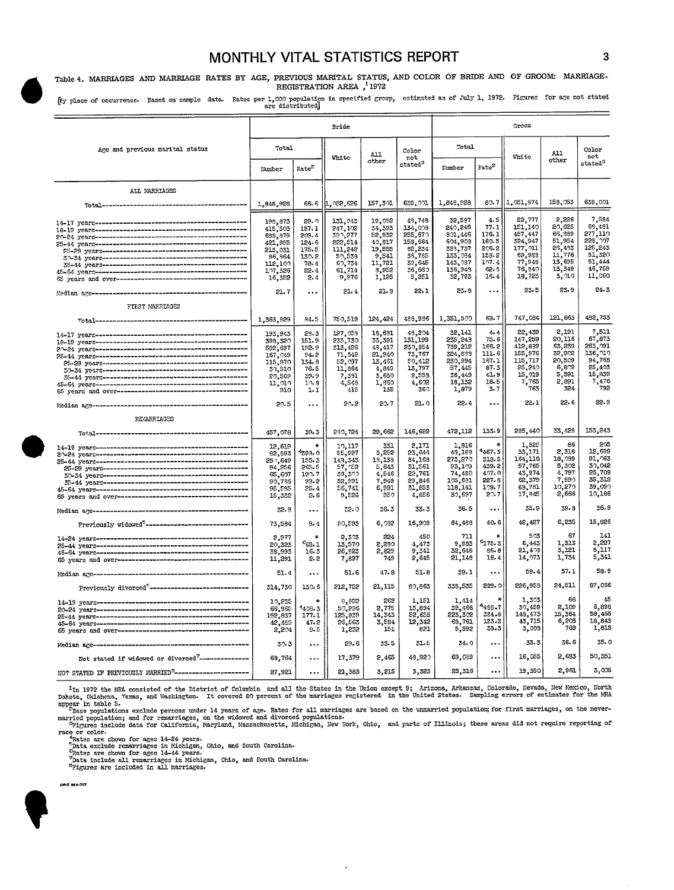# **MONTHLY VITAL STATISTICS REPORT** 3

Table 4. MARRIAGES AND MARRIAGE RATES BY AGE, PREVIOUS MARITAL STATUS, AND COLOR OF BRIDE AND OF GROOM: MARRIAGE-<br>REGISTRATION AREA<sup>1</sup>1972 **REGISTRATION AREA ,'19'72** 

h place of occurrence. Based on sample data. Rates per 1,000 population in specified group, estimated as of July 1, 1972. Figures for age not stated are distributed]

|                                                                                                                                                                                                                                                                                                                                                                                                                                                                    | Bride             |                   |                    |                  | Groom               |                   |                      |                   |                 |                                     |
|--------------------------------------------------------------------------------------------------------------------------------------------------------------------------------------------------------------------------------------------------------------------------------------------------------------------------------------------------------------------------------------------------------------------------------------------------------------------|-------------------|-------------------|--------------------|------------------|---------------------|-------------------|----------------------|-------------------|-----------------|-------------------------------------|
| Age and previous marital status                                                                                                                                                                                                                                                                                                                                                                                                                                    | Total             |                   | <b>White</b>       | A11<br>other     | Color<br>not        | Total             |                      | White             | A11<br>other    | Color<br>not<br>stated <sup>3</sup> |
|                                                                                                                                                                                                                                                                                                                                                                                                                                                                    | Number            | Rate <sup>2</sup> |                    |                  | stated <sup>3</sup> | Kumber            | Rate <sup>2</sup>    |                   |                 |                                     |
| ALL MARRIAGES                                                                                                                                                                                                                                                                                                                                                                                                                                                      |                   |                   |                    |                  |                     |                   |                      |                   |                 |                                     |
|                                                                                                                                                                                                                                                                                                                                                                                                                                                                    | 1,848,928         | 66.6              | 1,052,626          | 157,301          | 639,001             | 1,849,928         | 80.7                 | 1,051,874         | 158,053         | 639,001                             |
| $14-17 \text{ years} \text{\textcolor{red}{\textbf{2000}}\textbf{212}} \text{59} \text{ years} \text{\textcolor{red}{\textbf{3000}}\textbf{313}} \text{69} \text{ years} \text{\textcolor{red}{\textbf{3000}}\textbf{313}} \text{69} \text{ years} \text{\textcolor{red}{\textbf{3000}}\textbf{313}} \text{69} \text{ years} \text{\textcolor{red}{\textbf{3000}}\textbf{313}} \text{79} \text{ years} \text{\textcolor{red}{\textbf{3000}}\textbf{313}} \text{79$ | 198,873           | 29.0<br>157.1     | 131,043<br>247,102 | 19,092<br>34,393 | 49,748<br>134,008   | 32,587<br>240,246 | 4.5<br>77.1          | 22,777<br>151,140 | 2,226<br>20,625 | 7,584<br>68,481                     |
|                                                                                                                                                                                                                                                                                                                                                                                                                                                                    | 415,503           |                   | 389,277            | 52,932           | 255,670             | 801,446           | 176.1                | 457,447           | 66,889          | 277,110                             |
|                                                                                                                                                                                                                                                                                                                                                                                                                                                                    | 699,979           | 209.4             | 222,514            | 40,817           | 158,664             | 604,903           | 160.5                | 324,947           | 51,954          | 228, 007                            |
|                                                                                                                                                                                                                                                                                                                                                                                                                                                                    | 421,995           | 124.6             |                    | 19,555           | 82,234              | 323,737           | 206.2                | 177,011           | 26,493          | 125,243                             |
|                                                                                                                                                                                                                                                                                                                                                                                                                                                                    | 213,031           | 175.5             | 111,242            |                  |                     | 133,034           | 158-2                | 69,983            | 11,776          | 51,320                              |
|                                                                                                                                                                                                                                                                                                                                                                                                                                                                    | 96, 964           | 130.2             | 50,533             | 9,541            | 35,785<br>39, 645   | 143,037           | 107.4                | 77,949            | 13,695          | 51,444                              |
|                                                                                                                                                                                                                                                                                                                                                                                                                                                                    | 112,100           | 78.4              | 60,754             | 11,721           | 36,660              | 136,948           | 62.9                 | 76,840            | 13,349          | 46,759                              |
|                                                                                                                                                                                                                                                                                                                                                                                                                                                                    | 1.17,326          | 22.4              | 61,714             | 8,952            |                     | 32,793            | 16.4                 | 18,723            | $3,210$         | 11,060                              |
|                                                                                                                                                                                                                                                                                                                                                                                                                                                                    | 16,352            | 2.4               | 9,976              | 1,125            | 5,251               |                   |                      |                   |                 |                                     |
|                                                                                                                                                                                                                                                                                                                                                                                                                                                                    | 21.7              | $\ddotsc$         | 21.4               | 21.9             | 22.1                | $23 - 8$          | $\ddotsc$            | 23.5              | 23.9            | $24 - 3$                            |
| FIRST MARRIAGES                                                                                                                                                                                                                                                                                                                                                                                                                                                    |                   |                   |                    |                  |                     |                   |                      |                   |                 |                                     |
|                                                                                                                                                                                                                                                                                                                                                                                                                                                                    | 1,363,929         | 84-5              | 750,519            | 124,424          | 493,936             | 1,351,500         | 69.7                 | 747,034           | 121,663         | 492,753                             |
|                                                                                                                                                                                                                                                                                                                                                                                                                                                                    | 193,943           | 29.3              | 127,059            | 18,691           | 48,204              | 32,141            | 4.4                  | 22,439            | 2,191           | 7,511                               |
|                                                                                                                                                                                                                                                                                                                                                                                                                                                                    | 398,320           | 151.9             | 233,730            | 33,391           | 131,199             | 235,243           | 75.6                 | 147,259           | 20,116          | 67,873                              |
|                                                                                                                                                                                                                                                                                                                                                                                                                                                                    | 592,697           | 192-9             | 313,426            | 48,417           | 230,854             | 739,212           | 166.2                | 412,832           | 63,239          | 263,091                             |
|                                                                                                                                                                                                                                                                                                                                                                                                                                                                    | 167,049           | 94.2              | 71,342             | 21,940           | 73,767              | 324,839           | 111.6                | 155,976           | 32,902          | 136, 710                            |
|                                                                                                                                                                                                                                                                                                                                                                                                                                                                    | 115,970           | 134.8             | 52,097             | 13,461           | 50,412              | 230,994           | 167.1                | 115,717           | 20,509          | 94,768                              |
|                                                                                                                                                                                                                                                                                                                                                                                                                                                                    | 30,510            | 76.5              | 11,864             | 4,849            | 13,797              | 57,445            | 87.3                 | 25,240            | 6,82            | 25,403                              |
| - 20-42 - 1982<br>- 20-23 - 1982 - 1982 - 1982 - 1982 - 1982 - 1983 - 1984 - 1984 - 1984 - 1984 - 1984 - 1984 - 1984 - 1984 - 1<br>- 20-24 - 1982 - 1982 - 1982 - 1982 - 1982 - 1982 - 1982 - 1982 - 1984 - 1982 - 1984 - 1984 - 198                                                                                                                                                                                                                               | 20,569            | 39.9              | 7,391              | 3,630            | 9.553               | 36,449            | 41.9                 | 15,019            | 5,591           | 15,839                              |
|                                                                                                                                                                                                                                                                                                                                                                                                                                                                    | 11,010            | 10.9              | 4,548              | 1,860            | 4,602               | 18,132            | 16.5                 | 7,765             | 2,891           | 7,476                               |
|                                                                                                                                                                                                                                                                                                                                                                                                                                                                    | 910               | 1.1               | 415                | 135              | 360                 | 1,879             | 3.7                  | 763               | 324             | 792                                 |
|                                                                                                                                                                                                                                                                                                                                                                                                                                                                    | 20.5              |                   | 20.2               | 20.7             | 21.0                | 22.4              |                      | 22.1              | 22.6            | 22.9                                |
| REMARRIAGES                                                                                                                                                                                                                                                                                                                                                                                                                                                        |                   |                   |                    |                  |                     |                   |                      |                   |                 |                                     |
|                                                                                                                                                                                                                                                                                                                                                                                                                                                                    | 457,078           | 39.3              | 280,724            | 29,662           | 146,692             | 472,112           | 133.9                | 285,440           | 33,429          | 153,243                             |
|                                                                                                                                                                                                                                                                                                                                                                                                                                                                    | 12,619            | $\ast$            | 19,117             | 331              | 2,171               | 1,916             | $\ast$               | 1,525             | 86              | 205                                 |
|                                                                                                                                                                                                                                                                                                                                                                                                                                                                    | 82,893            | ^ვ93∙0            | 55,997             | 3,252            | 23,644              | 43,183            | 467.3                | 33,171            | 2,318           | 12,599                              |
|                                                                                                                                                                                                                                                                                                                                                                                                                                                                    |                   | 155.3             | 149,343            | 13,133           | 84,163              | 273,270           | 318.5                | 164,118           | 18,039          | 91.063                              |
|                                                                                                                                                                                                                                                                                                                                                                                                                                                                    | 251,649<br>94,256 | 265.5             | 57,052             | 5,643            | 31,561              | 93,109            | 439.2                | 57,765            | 5,302           | 30,042                              |
|                                                                                                                                                                                                                                                                                                                                                                                                                                                                    | 65,607            | 199.7             | 39,300             | 4,546            | 22,761              | 74,480            | 497.0                | 43,974            | 4,797           | 25,709                              |
|                                                                                                                                                                                                                                                                                                                                                                                                                                                                    |                   | 93.2              | 52,991             | 7,949            | 29,846              | 105,631           | 227.8                | 62,379            | 7,990           | 35,312                              |
|                                                                                                                                                                                                                                                                                                                                                                                                                                                                    | 90,786<br>95,585  | 25.4              | 56,741             | 6,991            | 31,853              | 118,141           | 109.7                | 63,781            | 10,270          | 39,090                              |
|                                                                                                                                                                                                                                                                                                                                                                                                                                                                    | 15,332            | 2.6               | 5,526              | 950              | 4,856               | 30,697            | 20.7                 | 17,845            | 2,666           | 10,186                              |
|                                                                                                                                                                                                                                                                                                                                                                                                                                                                    | 32.8              |                   | 32.0               | 36.3             | 33.3                | 36.5              |                      | $35 - 9$          | 39.8            | 36.9                                |
| Previously widowed <sup>5</sup> -------------------------------                                                                                                                                                                                                                                                                                                                                                                                                    | 73,584            | $\cdots$<br>9.4   | 50,593             | 6,032            | 16,909              | 64,488            | 40. G                | 42,427            | 6,235           | 15,826                              |
|                                                                                                                                                                                                                                                                                                                                                                                                                                                                    | 2,977             | $\star$           | 2,303              | 224              | 450                 | 711               |                      | 503               | 67              | 141                                 |
|                                                                                                                                                                                                                                                                                                                                                                                                                                                                    | 20,323            | $c_{65.1}$        | 13,570             | 2,280            | 4,473               | 9,983             | $e_{175.3}$          | 6,443             | 1,313           | 2,227                               |
|                                                                                                                                                                                                                                                                                                                                                                                                                                                                    | 38,993            | 16.3              | 26,823             | 2,829            | 9,341               | 32,646            | 86.8                 | 21,403            | 3,121           | 6,117                               |
|                                                                                                                                                                                                                                                                                                                                                                                                                                                                    | 11,291            | 2.2               | 7,897              | 749              | 2,645               | 21,148            | 18.4                 | 14,073            | 1,734           | 5,341                               |
|                                                                                                                                                                                                                                                                                                                                                                                                                                                                    | 51.4              |                   | 51.6               | 47.8             | 51.8                | 59.1              | $\ddotsc$            | 59.4              | 57.1            | 58.9                                |
| Previously divorced <sup>6</sup> --------------------------------                                                                                                                                                                                                                                                                                                                                                                                                  | 314,730           | 130.6             | 212,752            | 21,115           | 80,863              | 338,535           | 229.0                | 226,953           | 24,511          | 87,066                              |
|                                                                                                                                                                                                                                                                                                                                                                                                                                                                    | 10,235            | $\star$           | 8,822              | 262              | 1,151               | 1,414             | ×                    | 1,303             | 66              | 45                                  |
|                                                                                                                                                                                                                                                                                                                                                                                                                                                                    | 66,965            | 4406.3            | 50,296             | 2,775            | 13,894              | 59,466            | $*486.7$             | 30,459            | 2,109           | 6,898                               |
|                                                                                                                                                                                                                                                                                                                                                                                                                                                                    | 192,837           | 177.1             | 125,839            | 14,343           | 52,655              | 223,302           | 324.6                | 148,473           | 15,364          | 59,465                              |
|                                                                                                                                                                                                                                                                                                                                                                                                                                                                    | 42,459            | 47.2              | 26,563             | 3,584            | 12,342              | 68,761            | 123.2                | 43,715            | 6,203           | 18,843                              |
|                                                                                                                                                                                                                                                                                                                                                                                                                                                                    | 2,204             | 9.5               | 1,232              | 151              | 821                 | 5,592             | 39.3                 | 3,003             | 769             | 1,815                               |
|                                                                                                                                                                                                                                                                                                                                                                                                                                                                    |                   |                   |                    |                  |                     |                   |                      | 33.3              | 36.6            | 35.0                                |
|                                                                                                                                                                                                                                                                                                                                                                                                                                                                    | 30.3              | $\ddotsc$         | 29.6               | 33.5             | 31.5                | 34.0              | $\cdots$<br>$\cdots$ | 16,055            | 2,633           | 50,351                              |
| Not stated if widowed or divorced <sup>7</sup> ---------------                                                                                                                                                                                                                                                                                                                                                                                                     | 63,764            |                   | 17,379             | 2,465            | 48,920              | 69,039<br>25,316  |                      | 19,350            | 2,961           | 3,005                               |
| NOT STATED IF PREVIOUSLY MARRIED <sup>S</sup> -------------------                                                                                                                                                                                                                                                                                                                                                                                                  | 27,921            | $\ddotsc$         | 21,383             | 3,215            | 3,323               |                   |                      |                   |                 |                                     |

The HRA consisted of the District of Columbia and all the States in the union except s; arrivales, who allows in the District of the District of the District of the marriage registered in the United States. Sampling errors

race or color.<br>
"Rate are shown for ages 14-24 years.<br>
"Bata scalude remarriages in Michigan, Ohio, and South Carolina.<br>
"Bata sholude all remarriages in Michigan, Ohio, and South Carolina.<br>
"Data include all remarriages i

 $\epsilon$ 

crd sec-707